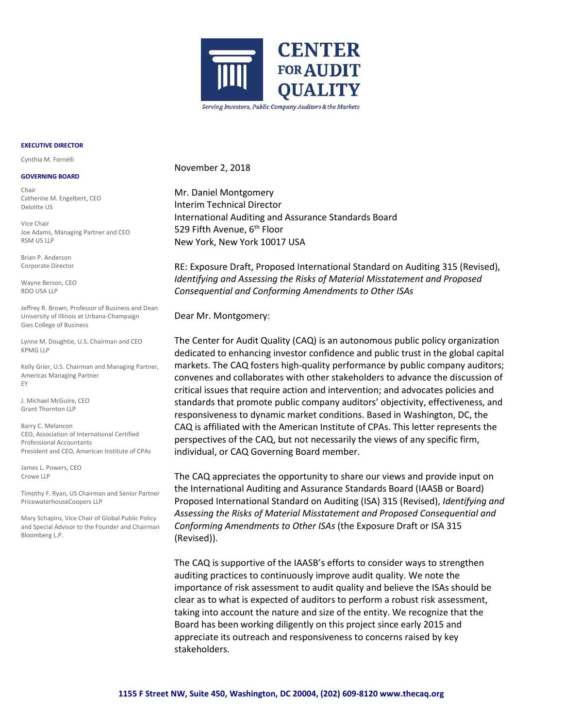

#### **EXECUTIVE DIRECTOR**

Cynthia M. Fornelli

#### **GOVERNING BOARD**

Chair Catherine M. Engelbert, CEO Deloitte US

Vice Chair Joe Adams, Managing Partner and CEO RSM US LLP

Brian P. Anderson Corporate Director

Wayne Berson, CEO BDO USA LLP

Jeffrey R. Brown, Professor of Business and Dean University of Illinois at Urbana-Champaign Gies College of Business

Lynne M. Doughtie, U.S. Chairman and CEO KPMG LLP

Kelly Grier, U.S. Chairman and Managing Partner, Americas Managing Partner EY

J. Michael McGuire, CEO Grant Thornton LLP

Barry C. Melancon CEO, Association of International Certified Professional Accountants President and CEO, American Institute of CPAs

James L. Powers, CEO Crowe LLP

Timothy F. Ryan, US Chairman and Senior Partner PricewaterhouseCoopers LLP

Mary Schapiro, Vice Chair of Global Public Policy and Special Advisor to the Founder and Chairman Bloomberg L.P.

#### November 2, 2018

Mr. Daniel Montgomery Interim Technical Director International Auditing and Assurance Standards Board 529 Fifth Avenue, 6<sup>th</sup> Floor New York, New York 10017 USA

RE: Exposure Draft, Proposed International Standard on Auditing 315 (Revised), *Identifying and Assessing the Risks of Material Misstatement and Proposed Consequential and Conforming Amendments to Other ISAs*

#### Dear Mr. Montgomery:

The Center for Audit Quality (CAQ) is an autonomous public policy organization dedicated to enhancing investor confidence and public trust in the global capital markets. The CAQ fosters high-quality performance by public company auditors; convenes and collaborates with other stakeholders to advance the discussion of critical issues that require action and intervention; and advocates policies and standards that promote public company auditors' objectivity, effectiveness, and responsiveness to dynamic market conditions. Based in Washington, DC, the CAQ is affiliated with the American Institute of CPAs. This letter represents the perspectives of the CAQ, but not necessarily the views of any specific firm, individual, or CAQ Governing Board member.

The CAQ appreciates the opportunity to share our views and provide input on the International Auditing and Assurance Standards Board (IAASB or Board) Proposed International Standard on Auditing (ISA) 315 (Revised), *Identifying and Assessing the Risks of Material Misstatement and Proposed Consequential and Conforming Amendments to Other ISAs* (the Exposure Draft or ISA 315 (Revised)).

The CAQ is supportive of the IAASB's efforts to consider ways to strengthen auditing practices to continuously improve audit quality. We note the importance of risk assessment to audit quality and believe the ISAs should be clear as to what is expected of auditors to perform a robust risk assessment, taking into account the nature and size of the entity. We recognize that the Board has been working diligently on this project since early 2015 and appreciate its outreach and responsiveness to concerns raised by key stakeholders.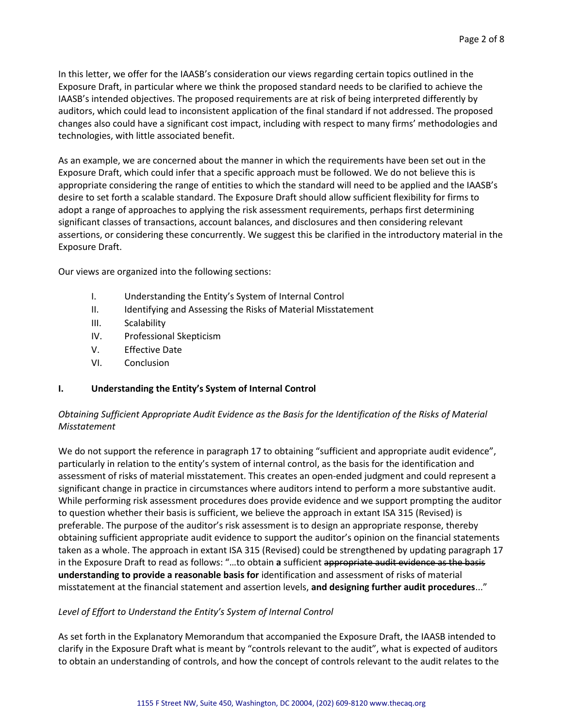In this letter, we offer for the IAASB's consideration our views regarding certain topics outlined in the Exposure Draft, in particular where we think the proposed standard needs to be clarified to achieve the IAASB's intended objectives. The proposed requirements are at risk of being interpreted differently by auditors, which could lead to inconsistent application of the final standard if not addressed. The proposed changes also could have a significant cost impact, including with respect to many firms' methodologies and technologies, with little associated benefit.

As an example, we are concerned about the manner in which the requirements have been set out in the Exposure Draft, which could infer that a specific approach must be followed. We do not believe this is appropriate considering the range of entities to which the standard will need to be applied and the IAASB's desire to set forth a scalable standard. The Exposure Draft should allow sufficient flexibility for firms to adopt a range of approaches to applying the risk assessment requirements, perhaps first determining significant classes of transactions, account balances, and disclosures and then considering relevant assertions, or considering these concurrently. We suggest this be clarified in the introductory material in the Exposure Draft.

Our views are organized into the following sections:

- I. Understanding the Entity's System of Internal Control
- II. Identifying and Assessing the Risks of Material Misstatement
- III. Scalability
- IV. Professional Skepticism
- V. Effective Date
- VI. Conclusion

## **I. Understanding the Entity's System of Internal Control**

# *Obtaining Sufficient Appropriate Audit Evidence as the Basis for the Identification of the Risks of Material Misstatement*

We do not support the reference in paragraph 17 to obtaining "sufficient and appropriate audit evidence", particularly in relation to the entity's system of internal control, as the basis for the identification and assessment of risks of material misstatement. This creates an open-ended judgment and could represent a significant change in practice in circumstances where auditors intend to perform a more substantive audit. While performing risk assessment procedures does provide evidence and we support prompting the auditor to question whether their basis is sufficient, we believe the approach in extant ISA 315 (Revised) is preferable. The purpose of the auditor's risk assessment is to design an appropriate response, thereby obtaining sufficient appropriate audit evidence to support the auditor's opinion on the financial statements taken as a whole. The approach in extant ISA 315 (Revised) could be strengthened by updating paragraph 17 in the Exposure Draft to read as follows: "…to obtain **a** sufficient appropriate audit evidence as the basis **understanding to provide a reasonable basis for** identification and assessment of risks of material misstatement at the financial statement and assertion levels, **and designing further audit procedures**..."

## *Level of Effort to Understand the Entity's System of Internal Control*

As set forth in the Explanatory Memorandum that accompanied the Exposure Draft, the IAASB intended to clarify in the Exposure Draft what is meant by "controls relevant to the audit", what is expected of auditors to obtain an understanding of controls, and how the concept of controls relevant to the audit relates to the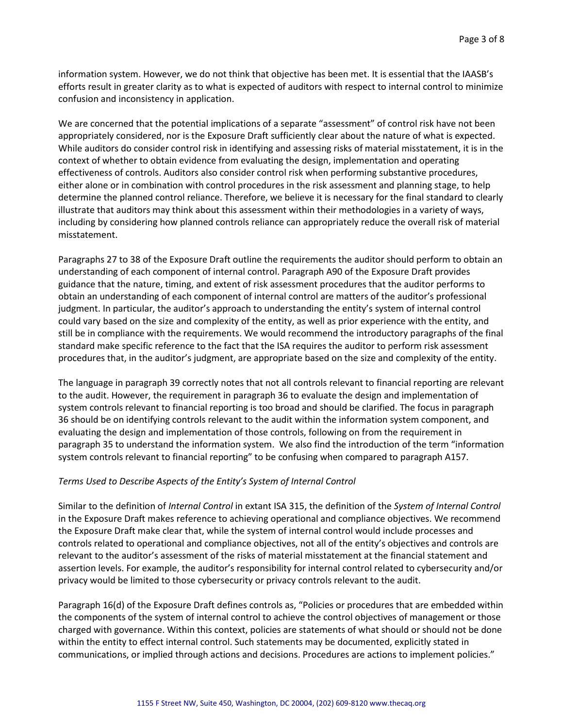information system. However, we do not think that objective has been met. It is essential that the IAASB's efforts result in greater clarity as to what is expected of auditors with respect to internal control to minimize confusion and inconsistency in application.

We are concerned that the potential implications of a separate "assessment" of control risk have not been appropriately considered, nor is the Exposure Draft sufficiently clear about the nature of what is expected. While auditors do consider control risk in identifying and assessing risks of material misstatement, it is in the context of whether to obtain evidence from evaluating the design, implementation and operating effectiveness of controls. Auditors also consider control risk when performing substantive procedures, either alone or in combination with control procedures in the risk assessment and planning stage, to help determine the planned control reliance. Therefore, we believe it is necessary for the final standard to clearly illustrate that auditors may think about this assessment within their methodologies in a variety of ways, including by considering how planned controls reliance can appropriately reduce the overall risk of material misstatement.

Paragraphs 27 to 38 of the Exposure Draft outline the requirements the auditor should perform to obtain an understanding of each component of internal control. Paragraph A90 of the Exposure Draft provides guidance that the nature, timing, and extent of risk assessment procedures that the auditor performs to obtain an understanding of each component of internal control are matters of the auditor's professional judgment. In particular, the auditor's approach to understanding the entity's system of internal control could vary based on the size and complexity of the entity, as well as prior experience with the entity, and still be in compliance with the requirements. We would recommend the introductory paragraphs of the final standard make specific reference to the fact that the ISA requires the auditor to perform risk assessment procedures that, in the auditor's judgment, are appropriate based on the size and complexity of the entity.

The language in paragraph 39 correctly notes that not all controls relevant to financial reporting are relevant to the audit. However, the requirement in paragraph 36 to evaluate the design and implementation of system controls relevant to financial reporting is too broad and should be clarified. The focus in paragraph 36 should be on identifying controls relevant to the audit within the information system component, and evaluating the design and implementation of those controls, following on from the requirement in paragraph 35 to understand the information system. We also find the introduction of the term "information system controls relevant to financial reporting" to be confusing when compared to paragraph A157.

## *Terms Used to Describe Aspects of the Entity's System of Internal Control*

Similar to the definition of *Internal Control* in extant ISA 315, the definition of the *System of Internal Control*  in the Exposure Draft makes reference to achieving operational and compliance objectives. We recommend the Exposure Draft make clear that, while the system of internal control would include processes and controls related to operational and compliance objectives, not all of the entity's objectives and controls are relevant to the auditor's assessment of the risks of material misstatement at the financial statement and assertion levels. For example, the auditor's responsibility for internal control related to cybersecurity and/or privacy would be limited to those cybersecurity or privacy controls relevant to the audit.

Paragraph 16(d) of the Exposure Draft defines controls as, "Policies or procedures that are embedded within the components of the system of internal control to achieve the control objectives of management or those charged with governance. Within this context, policies are statements of what should or should not be done within the entity to effect internal control. Such statements may be documented, explicitly stated in communications, or implied through actions and decisions. Procedures are actions to implement policies."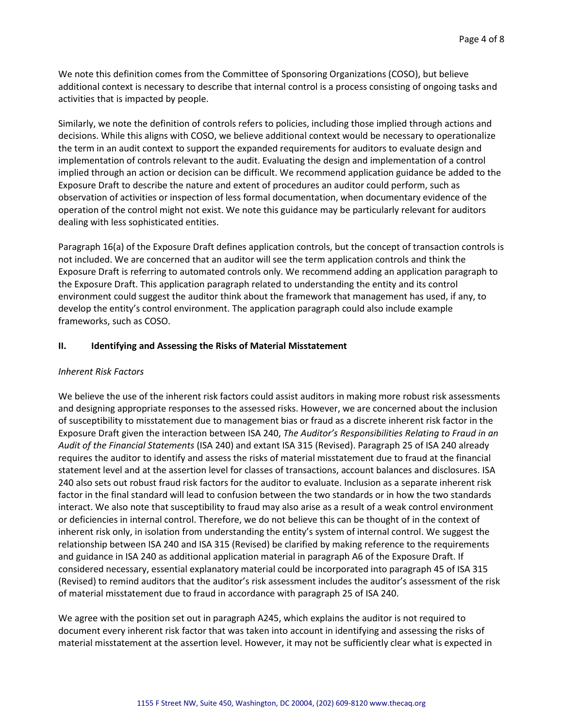We note this definition comes from the Committee of Sponsoring Organizations (COSO), but believe additional context is necessary to describe that internal control is a process consisting of ongoing tasks and activities that is impacted by people.

Similarly, we note the definition of controls refers to policies, including those implied through actions and decisions. While this aligns with COSO, we believe additional context would be necessary to operationalize the term in an audit context to support the expanded requirements for auditors to evaluate design and implementation of controls relevant to the audit. Evaluating the design and implementation of a control implied through an action or decision can be difficult. We recommend application guidance be added to the Exposure Draft to describe the nature and extent of procedures an auditor could perform, such as observation of activities or inspection of less formal documentation, when documentary evidence of the operation of the control might not exist. We note this guidance may be particularly relevant for auditors dealing with less sophisticated entities.

Paragraph 16(a) of the Exposure Draft defines application controls, but the concept of transaction controls is not included. We are concerned that an auditor will see the term application controls and think the Exposure Draft is referring to automated controls only. We recommend adding an application paragraph to the Exposure Draft. This application paragraph related to understanding the entity and its control environment could suggest the auditor think about the framework that management has used, if any, to develop the entity's control environment. The application paragraph could also include example frameworks, such as COSO.

## **II. Identifying and Assessing the Risks of Material Misstatement**

#### *Inherent Risk Factors*

We believe the use of the inherent risk factors could assist auditors in making more robust risk assessments and designing appropriate responses to the assessed risks. However, we are concerned about the inclusion of susceptibility to misstatement due to management bias or fraud as a discrete inherent risk factor in the Exposure Draft given the interaction between ISA 240, *The Auditor's Responsibilities Relating to Fraud in an Audit of the Financial Statements* (ISA 240) and extant ISA 315 (Revised). Paragraph 25 of ISA 240 already requires the auditor to identify and assess the risks of material misstatement due to fraud at the financial statement level and at the assertion level for classes of transactions, account balances and disclosures. ISA 240 also sets out robust fraud risk factors for the auditor to evaluate. Inclusion as a separate inherent risk factor in the final standard will lead to confusion between the two standards or in how the two standards interact. We also note that susceptibility to fraud may also arise as a result of a weak control environment or deficiencies in internal control. Therefore, we do not believe this can be thought of in the context of inherent risk only, in isolation from understanding the entity's system of internal control. We suggest the relationship between ISA 240 and ISA 315 (Revised) be clarified by making reference to the requirements and guidance in ISA 240 as additional application material in paragraph A6 of the Exposure Draft. If considered necessary, essential explanatory material could be incorporated into paragraph 45 of ISA 315 (Revised) to remind auditors that the auditor's risk assessment includes the auditor's assessment of the risk of material misstatement due to fraud in accordance with paragraph 25 of ISA 240.

We agree with the position set out in paragraph A245, which explains the auditor is not required to document every inherent risk factor that was taken into account in identifying and assessing the risks of material misstatement at the assertion level. However, it may not be sufficiently clear what is expected in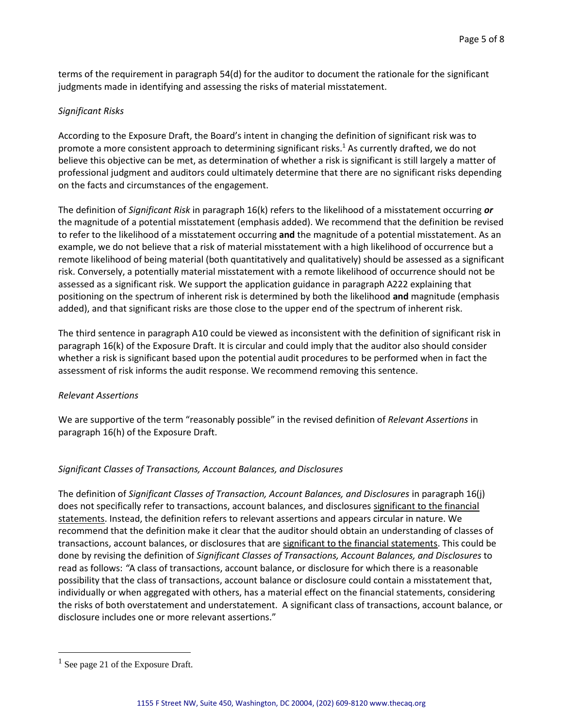terms of the requirement in paragraph 54(d) for the auditor to document the rationale for the significant judgments made in identifying and assessing the risks of material misstatement.

# *Significant Risks*

According to the Exposure Draft, the Board's intent in changing the definition of significant risk was to promote a more consistent approach to determining significant risks.<sup>1</sup> As currently drafted, we do not believe this objective can be met, as determination of whether a risk is significant is still largely a matter of professional judgment and auditors could ultimately determine that there are no significant risks depending on the facts and circumstances of the engagement.

The definition of *Significant Risk* in paragraph 16(k) refers to the likelihood of a misstatement occurring *or* the magnitude of a potential misstatement (emphasis added). We recommend that the definition be revised to refer to the likelihood of a misstatement occurring **and** the magnitude of a potential misstatement. As an example, we do not believe that a risk of material misstatement with a high likelihood of occurrence but a remote likelihood of being material (both quantitatively and qualitatively) should be assessed as a significant risk. Conversely, a potentially material misstatement with a remote likelihood of occurrence should not be assessed as a significant risk. We support the application guidance in paragraph A222 explaining that positioning on the spectrum of inherent risk is determined by both the likelihood **and** magnitude (emphasis added), and that significant risks are those close to the upper end of the spectrum of inherent risk.

The third sentence in paragraph A10 could be viewed as inconsistent with the definition of significant risk in paragraph 16(k) of the Exposure Draft. It is circular and could imply that the auditor also should consider whether a risk is significant based upon the potential audit procedures to be performed when in fact the assessment of risk informs the audit response. We recommend removing this sentence.

## *Relevant Assertions*

We are supportive of the term "reasonably possible" in the revised definition of *Relevant Assertions* in paragraph 16(h) of the Exposure Draft.

## *Significant Classes of Transactions, Account Balances, and Disclosures*

The definition of *Significant Classes of Transaction, Account Balances, and Disclosures* in paragraph 16(j) does not specifically refer to transactions, account balances, and disclosures significant to the financial statements. Instead, the definition refers to relevant assertions and appears circular in nature. We recommend that the definition make it clear that the auditor should obtain an understanding of classes of transactions, account balances, or disclosures that are significant to the financial statements. This could be done by revising the definition of *Significant Classes of Transactions, Account Balances, and Disclosures* to read as follows: *"*A class of transactions, account balance, or disclosure for which there is a reasonable possibility that the class of transactions, account balance or disclosure could contain a misstatement that, individually or when aggregated with others, has a material effect on the financial statements, considering the risks of both overstatement and understatement. A significant class of transactions, account balance, or disclosure includes one or more relevant assertions."

 $\overline{a}$ 

<sup>&</sup>lt;sup>1</sup> See page 21 of the Exposure Draft.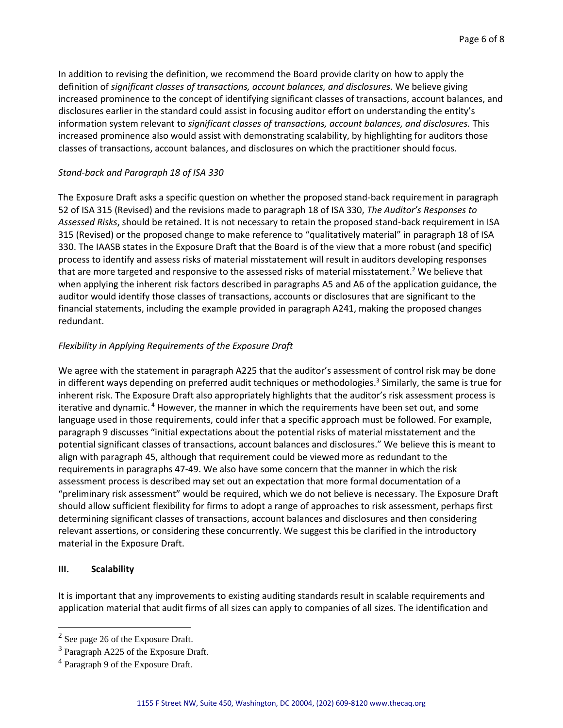In addition to revising the definition, we recommend the Board provide clarity on how to apply the definition of *significant classes of transactions, account balances, and disclosures.* We believe giving increased prominence to the concept of identifying significant classes of transactions, account balances, and disclosures earlier in the standard could assist in focusing auditor effort on understanding the entity's information system relevant to *significant classes of transactions, account balances, and disclosures.* This increased prominence also would assist with demonstrating scalability, by highlighting for auditors those classes of transactions, account balances, and disclosures on which the practitioner should focus.

#### *Stand-back and Paragraph 18 of ISA 330*

The Exposure Draft asks a specific question on whether the proposed stand-back requirement in paragraph 52 of ISA 315 (Revised) and the revisions made to paragraph 18 of ISA 330, *The Auditor's Responses to Assessed Risks*, should be retained. It is not necessary to retain the proposed stand-back requirement in ISA 315 (Revised) or the proposed change to make reference to "qualitatively material" in paragraph 18 of ISA 330. The IAASB states in the Exposure Draft that the Board is of the view that a more robust (and specific) process to identify and assess risks of material misstatement will result in auditors developing responses that are more targeted and responsive to the assessed risks of material misstatement.<sup>2</sup> We believe that when applying the inherent risk factors described in paragraphs A5 and A6 of the application guidance, the auditor would identify those classes of transactions, accounts or disclosures that are significant to the financial statements, including the example provided in paragraph A241, making the proposed changes redundant.

## *Flexibility in Applying Requirements of the Exposure Draft*

We agree with the statement in paragraph A225 that the auditor's assessment of control risk may be done in different ways depending on preferred audit techniques or methodologies.<sup>3</sup> Similarly, the same is true for inherent risk. The Exposure Draft also appropriately highlights that the auditor's risk assessment process is iterative and dynamic. <sup>4</sup> However, the manner in which the requirements have been set out, and some language used in those requirements, could infer that a specific approach must be followed. For example, paragraph 9 discusses "initial expectations about the potential risks of material misstatement and the potential significant classes of transactions, account balances and disclosures." We believe this is meant to align with paragraph 45, although that requirement could be viewed more as redundant to the requirements in paragraphs 47-49. We also have some concern that the manner in which the risk assessment process is described may set out an expectation that more formal documentation of a "preliminary risk assessment" would be required, which we do not believe is necessary. The Exposure Draft should allow sufficient flexibility for firms to adopt a range of approaches to risk assessment, perhaps first determining significant classes of transactions, account balances and disclosures and then considering relevant assertions, or considering these concurrently. We suggest this be clarified in the introductory material in the Exposure Draft.

## **III. Scalability**

 $\overline{a}$ 

It is important that any improvements to existing auditing standards result in scalable requirements and application material that audit firms of all sizes can apply to companies of all sizes. The identification and

 $2$  See page 26 of the Exposure Draft.

<sup>&</sup>lt;sup>3</sup> Paragraph A225 of the Exposure Draft.

<sup>&</sup>lt;sup>4</sup> Paragraph 9 of the Exposure Draft.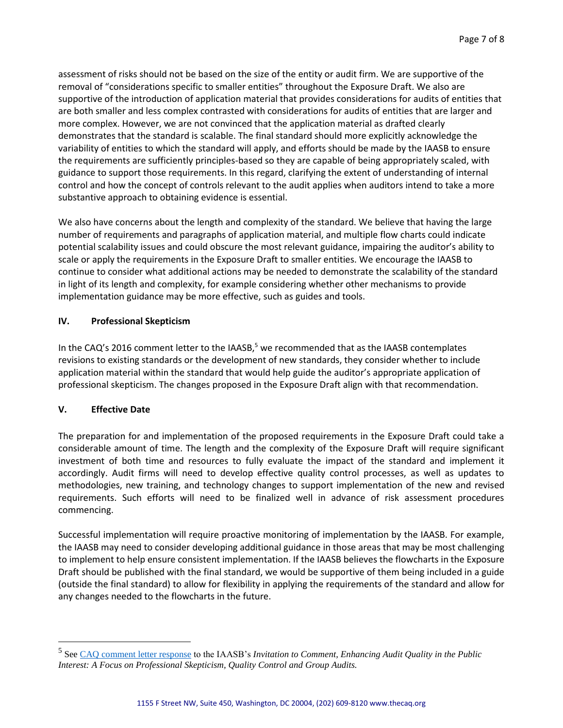assessment of risks should not be based on the size of the entity or audit firm. We are supportive of the removal of "considerations specific to smaller entities" throughout the Exposure Draft. We also are supportive of the introduction of application material that provides considerations for audits of entities that are both smaller and less complex contrasted with considerations for audits of entities that are larger and more complex. However, we are not convinced that the application material as drafted clearly demonstrates that the standard is scalable. The final standard should more explicitly acknowledge the variability of entities to which the standard will apply, and efforts should be made by the IAASB to ensure the requirements are sufficiently principles-based so they are capable of being appropriately scaled, with guidance to support those requirements. In this regard, clarifying the extent of understanding of internal control and how the concept of controls relevant to the audit applies when auditors intend to take a more substantive approach to obtaining evidence is essential.

We also have concerns about the length and complexity of the standard. We believe that having the large number of requirements and paragraphs of application material, and multiple flow charts could indicate potential scalability issues and could obscure the most relevant guidance, impairing the auditor's ability to scale or apply the requirements in the Exposure Draft to smaller entities. We encourage the IAASB to continue to consider what additional actions may be needed to demonstrate the scalability of the standard in light of its length and complexity, for example considering whether other mechanisms to provide implementation guidance may be more effective, such as guides and tools.

# **IV. Professional Skepticism**

In the CAQ's 2016 comment letter to the IAASB, $5$  we recommended that as the IAASB contemplates revisions to existing standards or the development of new standards, they consider whether to include application material within the standard that would help guide the auditor's appropriate application of professional skepticism. The changes proposed in the Exposure Draft align with that recommendation.

# **V. Effective Date**

 $\overline{a}$ 

The preparation for and implementation of the proposed requirements in the Exposure Draft could take a considerable amount of time. The length and the complexity of the Exposure Draft will require significant investment of both time and resources to fully evaluate the impact of the standard and implement it accordingly. Audit firms will need to develop effective quality control processes, as well as updates to methodologies, new training, and technology changes to support implementation of the new and revised requirements. Such efforts will need to be finalized well in advance of risk assessment procedures commencing.

Successful implementation will require proactive monitoring of implementation by the IAASB. For example, the IAASB may need to consider developing additional guidance in those areas that may be most challenging to implement to help ensure consistent implementation. If the IAASB believes the flowcharts in the Exposure Draft should be published with the final standard, we would be supportive of them being included in a guide (outside the final standard) to allow for flexibility in applying the requirements of the standard and allow for any changes needed to the flowcharts in the future.

<sup>&</sup>lt;sup>5</sup> See [CAQ comment letter response](http://baicpa.com/financial-services/broker-dealer-auditors/https:/www.thecaq.org/iaasb-enhancing-audit-quality-public-interest-focus-professional-skepticism-quality-control-and) to the IAASB's *Invitation to Comment, Enhancing Audit Quality in the Public Interest: A Focus on Professional Skepticism, Quality Control and Group Audits.*